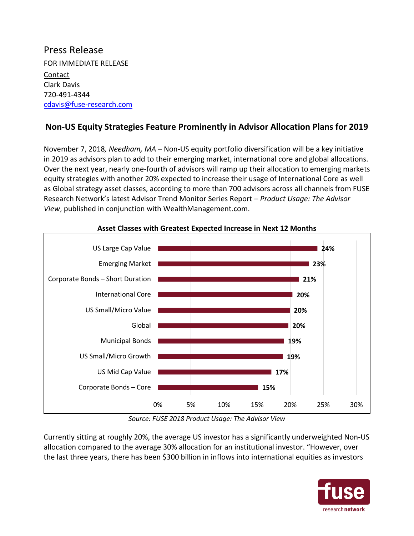## Press Release FOR IMMEDIATE RELEASE Contact Clark Davis 720-491-4344 [cdavis@fuse-research.com](mailto:cdavis@fuse-research.com)

## **Non-US Equity Strategies Feature Prominently in Advisor Allocation Plans for 2019**

November 7, 2018*, Needham, MA* – Non-US equity portfolio diversification will be a key initiative in 2019 as advisors plan to add to their emerging market, international core and global allocations. Over the next year, nearly one-fourth of advisors will ramp up their allocation to emerging markets equity strategies with another 20% expected to increase their usage of International Core as well as Global strategy asset classes, according to more than 700 advisors across all channels from FUSE Research Network's latest Advisor Trend Monitor Series Report – *Product Usage: The Advisor View*, published in conjunction with WealthManagement.com.



**Asset Classes with Greatest Expected Increase in Next 12 Months**

*Source: FUSE 2018 Product Usage: The Advisor View*

Currently sitting at roughly 20%, the average US investor has a significantly underweighted Non-US allocation compared to the average 30% allocation for an institutional investor. "However, over the last three years, there has been \$300 billion in inflows into international equities as investors